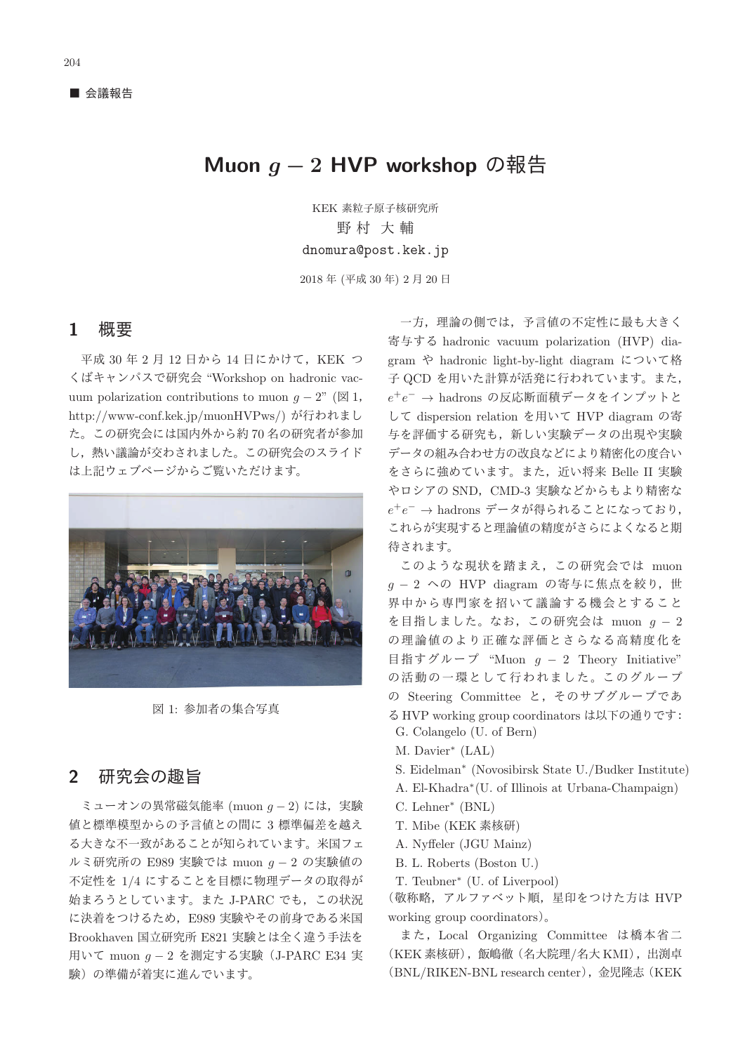# Muon  $q - 2$  HVP workshop の報告

KEK 素粒子原子核研究所 野村 大輔 dnomura@post.kek.jp

2018年 (平成 30年) 2月 20日

#### 1 概要

平成 30 年 2 月 12 日から 14 日にかけて, KEK つ くばキャンパスで研究会 "Workshop on hadronic vacuum polarization contributions to muon  $q - 2$ " ( $\boxtimes$  1, http://www-conf.kek.jp/muonHVPws/) が行われまし た。この研究会には国内外から約70名の研究者が参加 し、熱い議論が交わされました。この研究会のスライド は上記ウェブページからご覧いただけます。



図 1: 参加者の集合写真

## 2 研究会の趣旨

ミューオンの異常磁気能率 (muon  $q - 2$ ) には、実験 値と標準模型からの予言値との間に3標準偏差を越え る大きな不一致があることが知られています。米国フェ ルミ研究所の E989 実験では muon  $g - 2$  の実験値の 不定性を 1/4 にすることを目標に物理データの取得が 始まろうとしています。また J-PARC でも、この状況 に決着をつけるため、E989 実験やその前身である米国 Brookhaven 国立研究所 E821 実験とは全く違う手法を 用いて muon  $g - 2$  を測定する実験 (J-PARC E34 実 験)の準備が着実に進んでいます。

一方、理論の側では、予言値の不定性に最も大きく 寄与する hadronic vacuum polarization (HVP) diagram や hadronic light-by-light diagram について格 子 QCD を用いた計算が活発に行われています。また.  $e^+e^- \rightarrow$  hadrons の反応断面積データをインプットと して dispersion relation を用いて HVP diagram の寄 与を評価する研究も、新しい実験データの出現や実験 データの組み合わせ方の改良などにより精密化の度合い をさらに強めています。また、近い将来 Belle II 実験 やロシアの SND, CMD-3 実験などからもより精密な  $e^+e^-$  → hadrons データが得られることになっており, これらが実現すると理論値の精度がさらによくなると期 待されます。

このような現状を踏まえ、この研究会では muon  $q - 2 \sim$ の HVP diagram の寄与に焦点を絞り、世 界中から専門家を招いて議論する機会とすること を目指しました。なお、この研究会は muon  $g - 2$ の理論値のより正確な評価とさらなる高精度化を 目指すグループ "Muon  $g - 2$  Theory Initiative" の活動の一環として行われました。このグループ の Steering Committee と, そのサブグループであ る HVP working group coordinators は以下の通りです:

- G. Colangelo (U. of Bern)
- M. Davier<sup>∗</sup> (LAL)
- S. Eidelman<sup>∗</sup> (Novosibirsk State U./Budker Institute)
- A. El-Khadra∗(U. of Illinois at Urbana-Champaign)
- C. Lehner<sup>∗</sup> (BNL)
- T. Mibe (KEK 素核研)
- A. Nyffeler (JGU Mainz)
- B. L. Roberts (Boston U.)
- T. Teubner<sup>∗</sup> (U. of Liverpool)

(敬称略, アルファベット順, 星印をつけた方は HVP working group coordinators $)_{\circ}$ 

また, Local Organizing Committee は橋本省二 (KEK 素核研), 飯嶋徹 (名大院理/名大 KMI), 出渕卓 (BNL/RIKEN-BNL research center), 金児隆志 (KEK